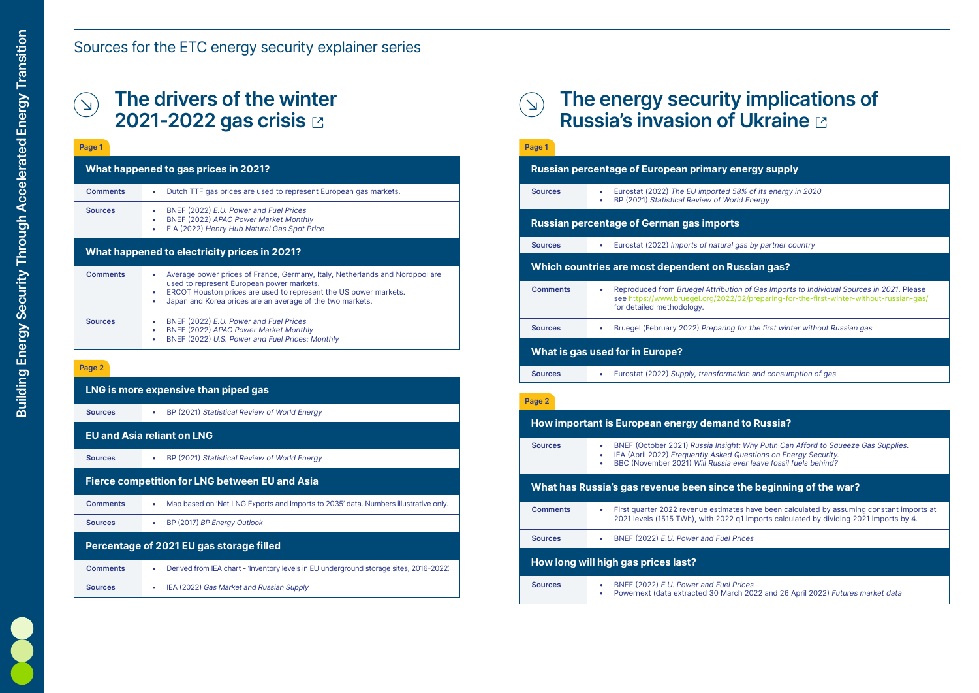# The energy security implications of

8% of its energy in 2020 ld Energy

as by partner country

**Saian gas?** 

In of Gas Imports to Individual Sources in 2021. Please 02/preparing-for-the-first-winter-without-russian-gas/

for the first winter without Russian gas

ion and consumption of gas

#### **to Russia?**

Why Putin Can Afford to Squeeze Gas Supplies. Uestions on Energy Security. ver leave fossil fuels behind?

#### **he beginning of the war?**

es have been calculated by assuming constant imports at 21 imports calculated by dividing 2021 imports by 4.



## Sources for the ETC energy security explainer series

## The drivers of the winter  $\left(\sum\right)$ 2021-2022 gas crisis **E**

## **How long will high gas prices last?**

#### Page 2

| LNG is more expensive than piped gas                  |                                                                                                  |  |  |
|-------------------------------------------------------|--------------------------------------------------------------------------------------------------|--|--|
| <b>Sources</b>                                        | BP (2021) Statistical Review of World Energy<br>$\bullet$                                        |  |  |
| <b>EU and Asia reliant on LNG</b>                     |                                                                                                  |  |  |
| <b>Sources</b>                                        | BP (2021) Statistical Review of World Energy<br>$\bullet$                                        |  |  |
| <b>Fierce competition for LNG between EU and Asia</b> |                                                                                                  |  |  |
| <b>Comments</b>                                       | Map based on 'Net LNG Exports and Imports to 2035' data. Numbers illustrative only.<br>$\bullet$ |  |  |
| <b>Sources</b>                                        | BP (2017) BP Energy Outlook<br>$\bullet$                                                         |  |  |
| Percentage of 2021 EU gas storage filled              |                                                                                                  |  |  |
| <b>Comments</b>                                       | Derived from IEA chart - 'Inventory levels in EU underground storage sites, 2016-2022'.<br>۰     |  |  |
| <b>Sources</b>                                        | IEA (2022) Gas Market and Russian Supply<br>$\bullet$                                            |  |  |
|                                                       |                                                                                                  |  |  |

**Sources** • BNEF (2022) E.U. Power and Fuel Prices

**Sources** • BNEF (2022) E.U. Power and Fuel Prices

#### **What happened to gas prices in 2021? Russian percentage of European primary energy supply What happened to electricity prices in 2021?** Page 1 Page 1 **Comments Comments** • Dutch TTF gas prices are used to represent European gas markets. • Average power prices of France, Germany, Italy, Netherlands and Nordpool are used to represent European power markets. • ERCOT Houston prices are used to represent the US power markets. • Japan and Korea prices are an average of the two markets. • BNEF (2022) E.U. Power and Fuel Prices • BNEF (2022) APAC Power Market Monthly • EIA (2022) Henry Hub Natural Gas Spot Price • BNEF (2022) E.U. Power and Fuel Prices • BNEF (2022) APAC Power Market Monthly • BNEF (2022) U.S. Power and Fuel Prices: Monthly **Sources** Sources

| Page 1          |                                                                                                                  |
|-----------------|------------------------------------------------------------------------------------------------------------------|
|                 | <b>Russian percentage of European primary er</b>                                                                 |
| <b>Sources</b>  | Eurostat (2022) The EU imported 58<br>BP (2021) Statistical Review of World                                      |
|                 | <b>Russian percentage of German gas imports</b>                                                                  |
| <b>Sources</b>  | Eurostat (2022) Imports of natural g                                                                             |
|                 | Which countries are most dependent on Ru                                                                         |
| <b>Comments</b> | <b>Reproduced from Bruegel Attribution</b><br>see https://www.bruegel.org/2022/0<br>for detailed methodology.    |
| <b>Sources</b>  | Bruegel (February 2022) Preparing f                                                                              |
|                 | <b>What is gas used for in Europe?</b>                                                                           |
| <b>Sources</b>  | Eurostat (2022) Supply, transformat                                                                              |
| Page 2          |                                                                                                                  |
|                 | <b>How important is European energy demand</b>                                                                   |
| <b>Sources</b>  | BNEF (October 2021) Russia Insight.<br>IEA (April 2022) Frequently Asked Q<br>BBC (November 2021) Will Russia ev |
|                 | What has Russia's gas revenue been since t                                                                       |
| <b>Comments</b> | First quarter 2022 revenue estimate<br>2021 levels (1515 TWh), with 2022 q                                       |

• Powernext (data extracted 30 March 2022 and 26 April 2022) Futures market data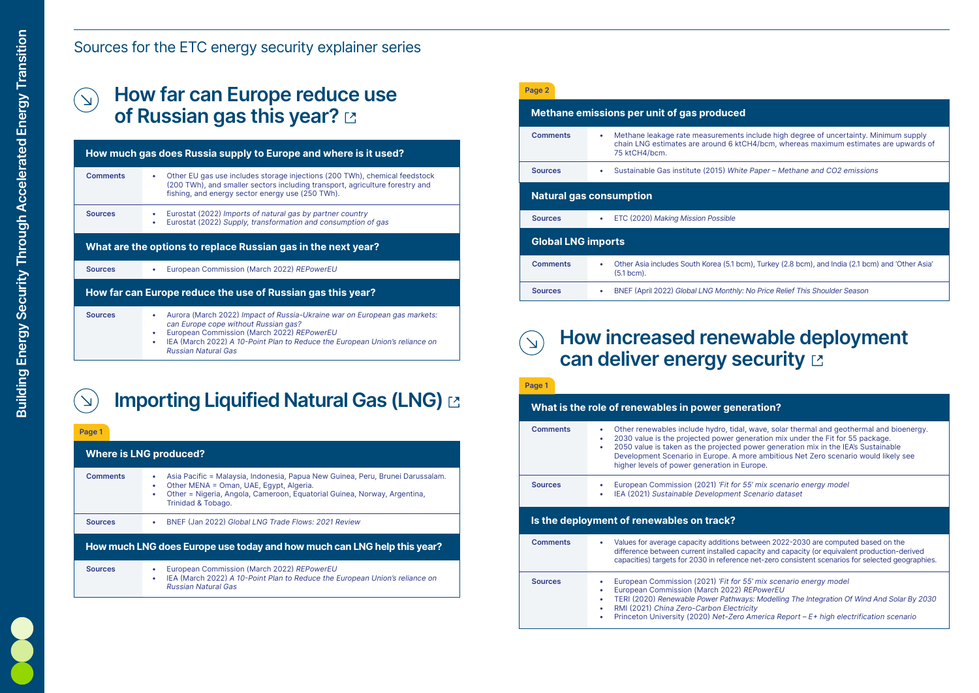## Sources for the ETC energy security explainer series

## How far can Europe reduce use of Russian gas this year? Langlet

### **Where is LNG produced? How much LNG does Europe use today and how much can LNG help this year?** Page 1 **Comments Sources** • Asia Pacific = Malaysia, Indonesia, Papua New Guinea, Peru, Brunei Darussalam. • Other MENA = Oman, UAE, Egypt, Algeria. • Other = Nigeria, Angola, Cameroon, Equatorial Guinea, Norway, Argentina, Trinidad & Tobago. • European Commission (March 2022) REPowerEU • IEA (March 2022) A 10-Point Plan to Reduce the European Union's reliance on Russian Natural Gas Sources • BNEF (Jan 2022) Global LNG Trade Flows: 2021 Review

|                 | How much gas does Russia supply to Europe and where is it used?                                                                                                                                                                                                              |                |
|-----------------|------------------------------------------------------------------------------------------------------------------------------------------------------------------------------------------------------------------------------------------------------------------------------|----------------|
| <b>Comments</b> | Other EU gas use includes storage injections (200 TWh), chemical feedstock                                                                                                                                                                                                   | <b>Sources</b> |
|                 | (200 TWh), and smaller sectors including transport, agriculture forestry and<br>fishing, and energy sector energy use (250 TWh).                                                                                                                                             | <b>Natura</b>  |
| <b>Sources</b>  | Eurostat (2022) Imports of natural gas by partner country<br>Eurostat (2022) Supply, transformation and consumption of gas                                                                                                                                                   | <b>Sources</b> |
|                 | What are the options to replace Russian gas in the next year?                                                                                                                                                                                                                | Globa          |
| <b>Sources</b>  | European Commission (March 2022) REPowerEU                                                                                                                                                                                                                                   | Comme          |
|                 | How far can Europe reduce the use of Russian gas this year?                                                                                                                                                                                                                  | <b>Sources</b> |
| <b>Sources</b>  | Aurora (March 2022) Impact of Russia-Ukraine war on European gas markets:<br>can Europe cope without Russian gas?<br>European Commission (March 2022) REPowerEU<br>IEA (March 2022) A 10-Point Plan to Reduce the European Union's reliance on<br><b>Russian Natural Gas</b> |                |

## $\Delta$

## Importing Liquified Natural Gas (LNG) &

## How increased renewable deployment  $\left(\overline{N}\right)$ can deliver energy security E

| Page 2                         |                                                                                            |  |  |
|--------------------------------|--------------------------------------------------------------------------------------------|--|--|
|                                | Methane emissions per unit of gas produced                                                 |  |  |
| <b>Comments</b>                | Methane leakage rate measurements<br>chain LNG estimates are around 6 ktC<br>75 ktCH4/bcm. |  |  |
| <b>Sources</b>                 | Sustainable Gas institute (2015) White                                                     |  |  |
| <b>Natural gas consumption</b> |                                                                                            |  |  |
| <b>Sources</b>                 | ETC (2020) Making Mission Possible                                                         |  |  |
| <b>Global LNG imports</b>      |                                                                                            |  |  |
| <b>Comments</b>                | Other Asia includes South Korea (5.1 bc<br>$(5.1$ bcm).                                    |  |  |
| <b>Sources</b>                 | BNEF (April 2022) Global LNG Monthly:                                                      |  |  |



#### **neration?**

dal, wave, solar thermal and geothermal and bioenergy. generation mix under the Fit for 55 package. ed power generation mix in the IEA's Sustainable more ambitious Net Zero scenario would likely see n Europe.

or 55' mix scenario energy model nt Scenario dataset

is between 2022-2030 are computed based on the capacity and capacity (or equivalent production-derived ence net-zero consistent scenarios for selected geographies.

eropean Commission Commission Commission Commission (2021) superfies the 55 mix scenario energy model 2) REPowerEU ways: Modelling The Integration Of Wind And Solar By 2030 • Princeton University (2020) Net-Zero America Report – E+ high electrification scenario

|                                           | What is the role of renewables in power ge                                                                                                                                                   |  |  |  |
|-------------------------------------------|----------------------------------------------------------------------------------------------------------------------------------------------------------------------------------------------|--|--|--|
| <b>Comments</b>                           | Other renewables include hydro, tio<br>2030 value is the projected power<br>2050 value is taken as the projecte<br>Development Scenario in Europe. A<br>higher levels of power generation in |  |  |  |
| <b>Sources</b>                            | European Commission (2021) 'Fit fo<br>IEA (2021) Sustainable Developmer                                                                                                                      |  |  |  |
| Is the deployment of renewables on track? |                                                                                                                                                                                              |  |  |  |
| <b>Comments</b>                           | Values for average capacity addition<br>difference between current installed<br>capacities) targets for 2030 in refere                                                                       |  |  |  |
| <b>Sources</b>                            | European Commission (2021) 'Fit fo<br>European Commission (March 2022<br>TERI (2020) Renewable Power Path                                                                                    |  |  |  |

Page 1